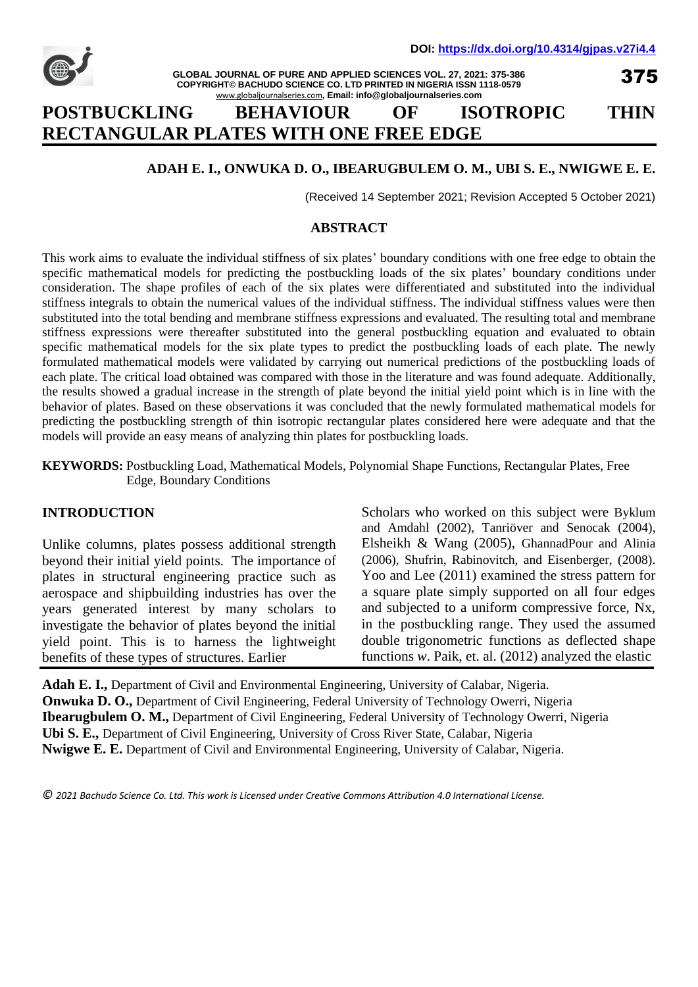

**GLOBAL JOURNAL OF PURE AND APPLIED SCIENCES VOL. 27, 2021: 375-386 COPYRIGHT© BACHUDO SCIENCE CO. LTD PRINTED IN NIGERIA ISSN 1118-0579** www.globaljournalseries.com**, Email: info@globaljournalseries.com**

375

# **POSTBUCKLING BEHAVIOUR OF ISOTROPIC THIN RECTANGULAR PLATES WITH ONE FREE EDGE**

## **ADAH E. I., ONWUKA D. O., IBEARUGBULEM O. M., UBI S. E., NWIGWE E. E.**

(Received 14 September 2021; Revision Accepted 5 October 2021)

### **ABSTRACT**

This work aims to evaluate the individual stiffness of six plates' boundary conditions with one free edge to obtain the specific mathematical models for predicting the postbuckling loads of the six plates' boundary conditions under consideration. The shape profiles of each of the six plates were differentiated and substituted into the individual stiffness integrals to obtain the numerical values of the individual stiffness. The individual stiffness values were then substituted into the total bending and membrane stiffness expressions and evaluated. The resulting total and membrane stiffness expressions were thereafter substituted into the general postbuckling equation and evaluated to obtain specific mathematical models for the six plate types to predict the postbuckling loads of each plate. The newly formulated mathematical models were validated by carrying out numerical predictions of the postbuckling loads of each plate. The critical load obtained was compared with those in the literature and was found adequate. Additionally, the results showed a gradual increase in the strength of plate beyond the initial yield point which is in line with the behavior of plates. Based on these observations it was concluded that the newly formulated mathematical models for predicting the postbuckling strength of thin isotropic rectangular plates considered here were adequate and that the models will provide an easy means of analyzing thin plates for postbuckling loads.

**KEYWORDS:** Postbuckling Load, Mathematical Models, Polynomial Shape Functions, Rectangular Plates, Free Edge, Boundary Conditions

### **INTRODUCTION**

Unlike columns, plates possess additional strength beyond their initial yield points. The importance of plates in structural engineering practice such as aerospace and shipbuilding industries has over the years generated interest by many scholars to investigate the behavior of plates beyond the initial yield point. This is to harness the lightweight benefits of these types of structures. Earlier

Scholars who worked on this subject were Byklum and Amdahl (2002), Tanriöver and Senocak (2004), Elsheikh & Wang (2005), GhannadPour and Alinia (2006), Shufrin, Rabinovitch, and Eisenberger, (2008). Yoo and Lee (2011) examined the stress pattern for a square plate simply supported on all four edges and subjected to a uniform compressive force, Nx, in the postbuckling range. They used the assumed double trigonometric functions as deflected shape functions *w*. Paik, et. al. (2012) analyzed the elastic

**Adah E. I.,** Department of Civil and Environmental Engineering, University of Calabar, Nigeria. **Onwuka D. O.,** Department of Civil Engineering, Federal University of Technology Owerri, Nigeria **Ibearugbulem O. M.,** Department of Civil Engineering, Federal University of Technology Owerri, Nigeria **Ubi S. E.,** Department of Civil Engineering, University of Cross River State, Calabar, Nigeria **Nwigwe E. E.** Department of Civil and Environmental Engineering, University of Calabar, Nigeria.

*© 2021 Bachudo Science Co. Ltd. This work is Licensed under Creative Commons Attribution 4.0 International License.*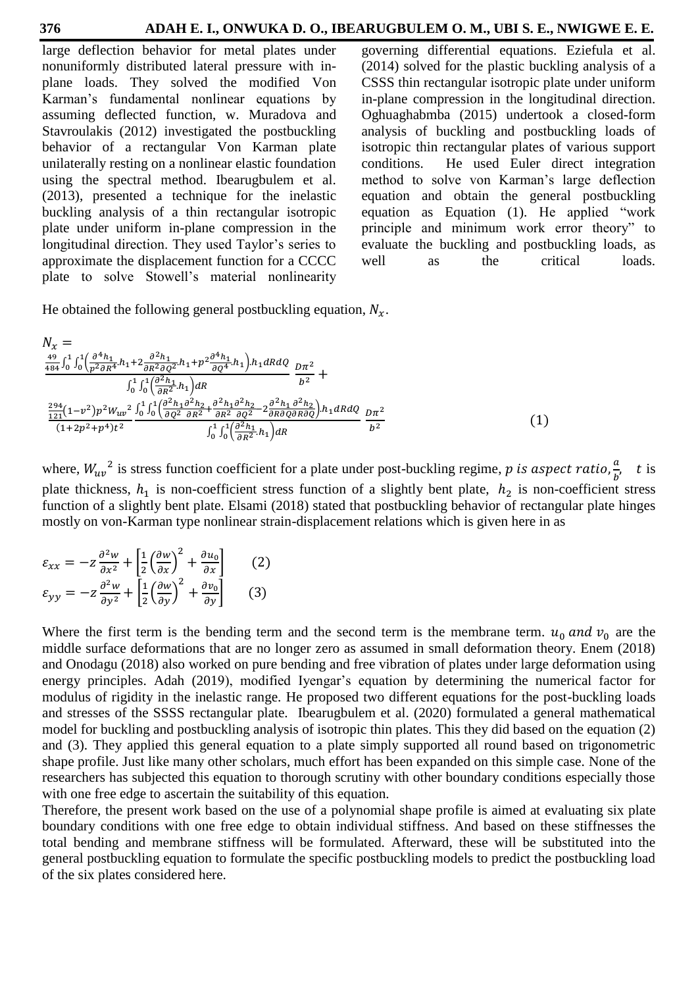large deflection behavior for metal plates under nonuniformly distributed lateral pressure with inplane loads. They solved the modified Von Karman's fundamental nonlinear equations by assuming deflected function, w. Muradova and Stavroulakis (2012) investigated the postbuckling behavior of a rectangular Von Karman plate unilaterally resting on a nonlinear elastic foundation using the spectral method. Ibearugbulem et al. (2013), presented a technique for the inelastic buckling analysis of a thin rectangular isotropic plate under uniform in-plane compression in the longitudinal direction. They used Taylor's series to approximate the displacement function for a CCCC plate to solve Stowell's material nonlinearity governing differential equations. Eziefula et al. (2014) solved for the plastic buckling analysis of a CSSS thin rectangular isotropic plate under uniform in-plane compression in the longitudinal direction. Oghuaghabmba (2015) undertook a closed-form analysis of buckling and postbuckling loads of isotropic thin rectangular plates of various support conditions. He used Euler direct integration method to solve von Karman's large deflection equation and obtain the general postbuckling equation as Equation (1). He applied "work principle and minimum work error theory" to evaluate the buckling and postbuckling loads, as well as the critical loads.

He obtained the following general postbuckling equation,  $N_x$ .

$$
N_{x} = \frac{49}{484} \int_{0}^{1} \int_{0}^{1} \left( \frac{\partial^{4} h_{1}}{p^{2} \partial R^{4}} h_{1} + 2 \frac{\partial^{2} h_{1}}{\partial R^{2} \partial Q^{2}} h_{1} + p^{2} \frac{\partial^{4} h_{1}}{\partial Q^{4}} h_{1} \right) h_{1} dR dQ} \frac{D \pi^{2}}{\partial P^{2}} + \frac{\int_{0}^{1} \int_{0}^{1} \left( \frac{\partial^{2} h_{1}}{\partial R^{2}} h_{1} \right) dR}{\int_{0}^{2} \frac{1}{21} \left( 1 - v^{2} \right) p^{2} W_{uv}^{2}} \frac{\int_{0}^{1} \int_{0}^{1} \left( \frac{\partial^{2} h_{1}}{\partial Q^{2}} \frac{\partial^{2} h_{2}}{\partial R^{2}} + \frac{\partial^{2} h_{1}}{\partial R^{2}} \frac{\partial^{2} h_{2}}{\partial Q^{2}} - 2 \frac{\partial^{2} h_{1}}{\partial R \partial Q \partial R \partial Q} \right) h_{1} dR dQ} \frac{D \pi^{2}}{\int_{0}^{2} \int_{0}^{1} \left( \frac{\partial^{2} h_{1}}{\partial R^{2}} h_{1} \right) dR} \frac{D \pi^{2}}{b^{2}}
$$
\n(1)

where,  $W_{uv}^2$  is stress function coefficient for a plate under post-buckling regime, p is aspect ratio,  $\frac{a}{b}$  $\boldsymbol{b}$ t is plate thickness,  $h_1$  is non-coefficient stress function of a slightly bent plate,  $h_2$  is non-coefficient stress function of a slightly bent plate. Elsami (2018) stated that postbuckling behavior of rectangular plate hinges mostly on von-Karman type nonlinear strain-displacement relations which is given here in as

$$
\varepsilon_{xx} = -z \frac{\partial^2 w}{\partial x^2} + \left[ \frac{1}{2} \left( \frac{\partial w}{\partial x} \right)^2 + \frac{\partial u_0}{\partial x} \right] \qquad (2)
$$

$$
\varepsilon_{yy} = -z \frac{\partial^2 w}{\partial y^2} + \left[ \frac{1}{2} \left( \frac{\partial w}{\partial y} \right)^2 + \frac{\partial v_0}{\partial y} \right] \qquad (3)
$$

Where the first term is the bending term and the second term is the membrane term.  $u_0$  and  $v_0$  are the middle surface deformations that are no longer zero as assumed in small deformation theory. Enem (2018) and Onodagu (2018) also worked on pure bending and free vibration of plates under large deformation using energy principles. Adah (2019), modified Iyengar's equation by determining the numerical factor for modulus of rigidity in the inelastic range. He proposed two different equations for the post-buckling loads and stresses of the SSSS rectangular plate. Ibearugbulem et al. (2020) formulated a general mathematical model for buckling and postbuckling analysis of isotropic thin plates. This they did based on the equation (2) and (3). They applied this general equation to a plate simply supported all round based on trigonometric shape profile. Just like many other scholars, much effort has been expanded on this simple case. None of the researchers has subjected this equation to thorough scrutiny with other boundary conditions especially those with one free edge to ascertain the suitability of this equation.

Therefore, the present work based on the use of a polynomial shape profile is aimed at evaluating six plate boundary conditions with one free edge to obtain individual stiffness. And based on these stiffnesses the total bending and membrane stiffness will be formulated. Afterward, these will be substituted into the general postbuckling equation to formulate the specific postbuckling models to predict the postbuckling load of the six plates considered here.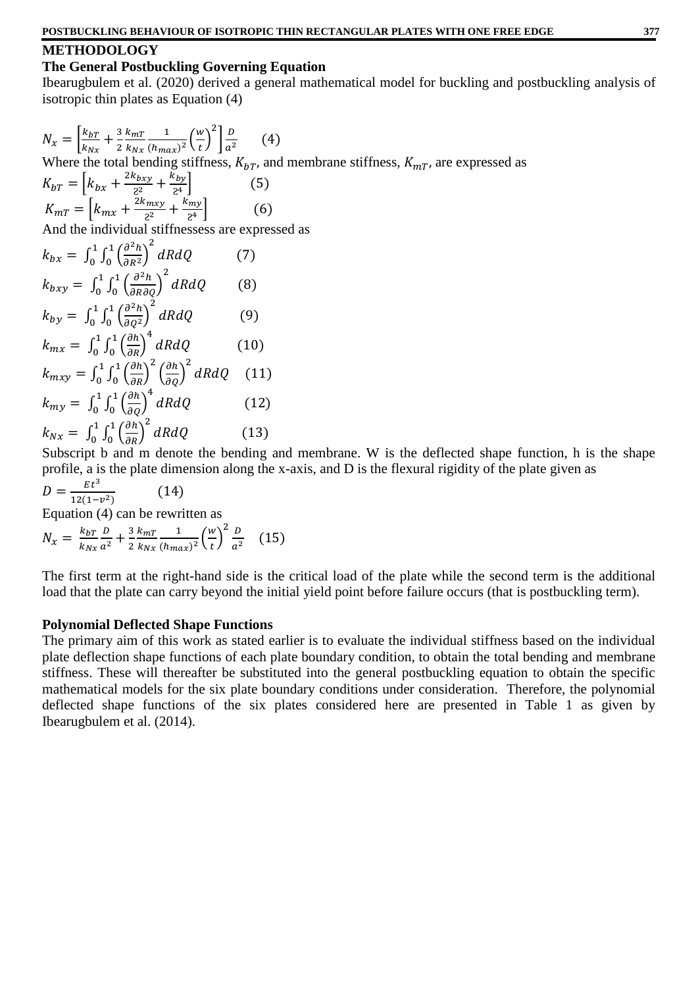### **METHODOLOGY**

### **The General Postbuckling Governing Equation**

Ibearugbulem et al. (2020) derived a general mathematical model for buckling and postbuckling analysis of isotropic thin plates as Equation (4)

$$
N_x = \left[\frac{k_{bT}}{k_{Nx}} + \frac{3}{2} \frac{k_{mT}}{k_{Nx}} \frac{1}{(h_{max})^2} \left(\frac{w}{t}\right)^2\right] \frac{D}{a^2}
$$
 (4)  
Where the total bending stiffness,  $K_{bT}$ , and membrane stiffness,  $K_{mT}$ , are expressed as  

$$
K_{bT} = \left[k_{bx} + \frac{2k_{bxy}}{2^2} + \frac{k_{by}}{2^4}\right]
$$
 (5)  

$$
K_{mT} = \left[k_{mx} + \frac{2k_{mxy}}{2^2} + \frac{k_{my}}{2^4}\right]
$$
 (6)  
And the individual stiffnessess are expressed as  

$$
k_{bx} = \int_0^1 \int_0^1 \left(\frac{\partial^2 h}{\partial R^2}\right)^2 dR dQ
$$
 (7)  

$$
k_{bxy} = \int_0^1 \int_0^1 \left(\frac{\partial^2 h}{\partial R \partial Q}\right)^2 dR dQ
$$
 (8)  

$$
k_{by} = \int_0^1 \int_0^1 \left(\frac{\partial^2 h}{\partial Q^2}\right)^2 dR dQ
$$
 (9)  

$$
k_{mx} = \int_0^1 \int_0^1 \left(\frac{\partial h}{\partial R}\right)^4 dR dQ
$$
 (10)  

$$
k_{mxy} = \int_0^1 \int_0^1 \left(\frac{\partial h}{\partial R}\right)^2 \left(\frac{\partial h}{\partial Q}\right)^2 dR dQ
$$
 (11)  

$$
k_{mxy} = \int_0^1 \int_0^1 \left(\frac{\partial h}{\partial Q}\right)^4 dR dQ
$$
 (12)  

$$
k_{nx} = \int_0^1 \int_0^1 \left(\frac{\partial h}{\partial R}\right)^2 dR dQ
$$
 (13)

Subscript b and m denote the bending and membrane. W is the deflected shape function, h is the shape profile, a is the plate dimension along the x-axis, and D is the flexural rigidity of the plate given as

$$
D = \frac{Et^3}{12(1-v^2)}\tag{14}
$$

Equation (4) can be rewritten as

$$
N_x = \frac{k_{bT}}{k_{Nx}} \frac{D}{a^2} + \frac{3}{2} \frac{k_{mT}}{k_{Nx}} \frac{1}{(h_{max})^2} \left(\frac{w}{t}\right)^2 \frac{D}{a^2} \quad (15)
$$

The first term at the right-hand side is the critical load of the plate while the second term is the additional load that the plate can carry beyond the initial yield point before failure occurs (that is postbuckling term).

### **Polynomial Deflected Shape Functions**

The primary aim of this work as stated earlier is to evaluate the individual stiffness based on the individual plate deflection shape functions of each plate boundary condition, to obtain the total bending and membrane stiffness. These will thereafter be substituted into the general postbuckling equation to obtain the specific mathematical models for the six plate boundary conditions under consideration. Therefore, the polynomial deflected shape functions of the six plates considered here are presented in Table 1 as given by Ibearugbulem et al. (2014).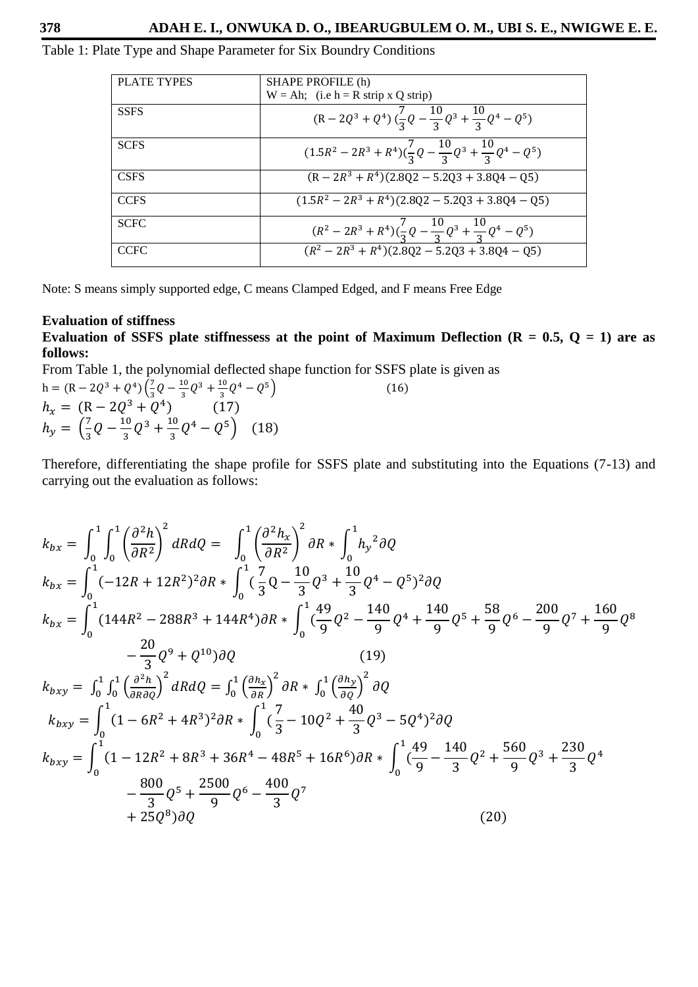### Table 1: Plate Type and Shape Parameter for Six Boundry Conditions

| <b>PLATE TYPES</b> | SHAPE PROFILE (h)                                                               |
|--------------------|---------------------------------------------------------------------------------|
|                    | $W = Ah$ ; (i.e h = R strip x Q strip)                                          |
| <b>SSFS</b>        | $(R-2Q^3+Q^4)\left(\frac{7}{3}Q-\frac{10}{3}Q^3+\frac{10}{3}Q^4-Q^5\right)$     |
| <b>SCFS</b>        | $(1.5R^2 - 2R^3 + R^4)(\frac{7}{3}Q - \frac{10}{3}Q^3 + \frac{10}{3}Q^4 - Q^5)$ |
| <b>CSFS</b>        | $(R - 2R^3 + R^4)(2.8Q2 - 5.2Q3 + 3.8Q4 - Q5)$                                  |
| <b>CCFS</b>        | $(1.5R^2 - 2R^3 + R^4)(2.8Q2 - 5.2Q3 + 3.8Q4 - Q5)$                             |
| <b>SCFC</b>        | $(R^2-2R^3+R^4)(\frac{7}{3}Q-\frac{10}{3}Q^3+\frac{10}{3}Q^4-Q^5)$              |
| <b>CCFC</b>        | $\sqrt{(R^2-2R^3+R^4)(2.8Q2-5.2Q3+3.8Q4-Q5)}$                                   |

Note: S means simply supported edge, C means Clamped Edged, and F means Free Edge

#### **Evaluation of stiffness**

**Evaluation of SSFS plate stiffnessess at the point of Maximum Deflection (R = 0.5, Q = 1) are as follows:**

 $(16)$ 

From Table 1, the polynomial deflected shape function for SSFS plate is given as

$$
h = (R - 2Q^{3} + Q^{4}) \left(\frac{7}{3}Q - \frac{10}{3}Q^{3} + \frac{10}{3}Q^{4} - Q^{5}\right)
$$
  
\n
$$
h_{x} = (R - 2Q^{3} + Q^{4}) \qquad (17)
$$
  
\n
$$
h_{y} = \left(\frac{7}{3}Q - \frac{10}{3}Q^{3} + \frac{10}{3}Q^{4} - Q^{5}\right) \qquad (18)
$$

Therefore, differentiating the shape profile for SSFS plate and substituting into the Equations (7-13) and carrying out the evaluation as follows:

$$
k_{bx} = \int_0^1 \int_0^1 \left(\frac{\partial^2 h}{\partial R^2}\right)^2 dR dQ = \int_0^1 \left(\frac{\partial^2 h_x}{\partial R^2}\right)^2 \partial R * \int_0^1 h_y^2 \partial Q
$$
  
\n
$$
k_{bx} = \int_0^1 (-12R + 12R^2)^2 \partial R * \int_0^1 \left(\frac{7}{3}Q - \frac{10}{3}Q^3 + \frac{10}{3}Q^4 - Q^5\right)^2 \partial Q
$$
  
\n
$$
k_{bx} = \int_0^1 (144R^2 - 288R^3 + 144R^4) \partial R * \int_0^1 \left(\frac{49}{9}Q^2 - \frac{140}{9}Q^4 + \frac{140}{9}Q^5 + \frac{58}{9}Q^6 - \frac{200}{9}Q^7 + \frac{160}{9}Q^8 - \frac{20}{3}Q^9 + Q^{10}\right) \partial Q
$$
  
\n
$$
k_{bxy} = \int_0^1 \int_0^1 \left(\frac{\partial^2 h}{\partial R \partial Q}\right)^2 dR dQ = \int_0^1 \left(\frac{\partial h_x}{\partial R}\right)^2 \partial R * \int_0^1 \left(\frac{\partial h_y}{\partial Q}\right)^2 \partial Q
$$
  
\n
$$
k_{bxy} = \int_0^1 (1 - 6R^2 + 4R^3)^2 \partial R * \int_0^1 \left(\frac{7}{3} - 10Q^2 + \frac{40}{3}Q^3 - 5Q^4\right)^2 \partial Q
$$
  
\n
$$
k_{bxy} = \int_0^1 (1 - 12R^2 + 8R^3 + 36R^4 - 48R^5 + 16R^6) \partial R * \int_0^1 \left(\frac{49}{9} - \frac{140}{3}Q^2 + \frac{560}{9}Q^3 + \frac{230}{3}Q^4 - \frac{800}{3}Q^5 + \frac{2500}{9}Q^6 - \frac{400}{3}Q^7\right)
$$
  
\n
$$
+ 25Q^8 \partial Q
$$
  
\n(20)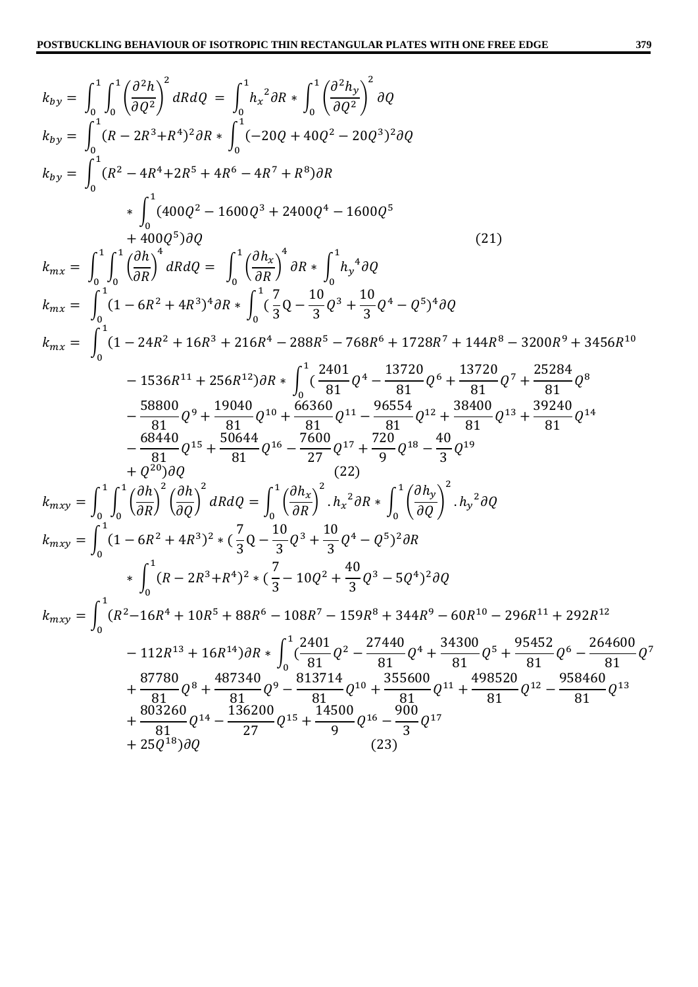$$
k_{by} = \int_{0}^{1} \int_{0}^{1} \left(\frac{\partial^{2} h}{\partial Q^{2}}\right)^{2} dR dQ = \int_{0}^{1} h_{x}^{2} \partial R + \int_{0}^{1} \left(\frac{\partial^{2} h_{y}}{\partial Q^{2}}\right)^{2} \partial Q
$$
  
\n
$$
k_{by} = \int_{0}^{1} (R - 2R^{3} + R^{4})^{2} \partial R + \int_{0}^{1} (-20Q + 40Q^{2} - 20Q^{3})^{2} \partial Q
$$
  
\n
$$
k_{by} = \int_{0}^{1} (R^{2} - 4R^{4} + 2R^{5} + 4R^{6} - 4R^{7} + R^{8}) \partial R
$$
  
\n
$$
+ \int_{0}^{1} (400Q^{2} - 1600Q^{3} + 2400Q^{4} - 1600Q^{5})
$$
  
\n
$$
+ 400Q^{5} \partial Q
$$
  
\n
$$
k_{mx} = \int_{0}^{1} \int_{0}^{1} \left(\frac{\partial h}{\partial R}\right)^{4} dR dQ = \int_{0}^{1} \left(\frac{\partial h_{x}}{\partial R}\right)^{4} \partial R + \int_{0}^{1} h_{y}^{4} \partial Q
$$
  
\n
$$
k_{mx} = \int_{0}^{1} (1 - 6R^{2} + 4R^{3})^{4} \partial R + \int_{0}^{1} \left(\frac{7}{5}Q - \frac{10}{3}Q^{3} + \frac{10}{3}Q^{4} - Q^{5}\right)^{4} \partial Q
$$
  
\n
$$
k_{mx} = \int_{0}^{1} (1 - 24R^{2} + 16R^{3} + 216R^{4} - 288R^{5} - 768R^{6} + 1728R^{7} + 144R^{8} - 3200R^{9} + 3456R^{10}
$$
  
\n
$$
- 1536R^{11} + 256R^{12}) \partial R + \int_{0}^{1} \left(\frac{2401}{81}Q^{4} - \frac{13720}{81}Q^{6} + \frac{13720}{81}Q^{7} + \frac{25284}{81
$$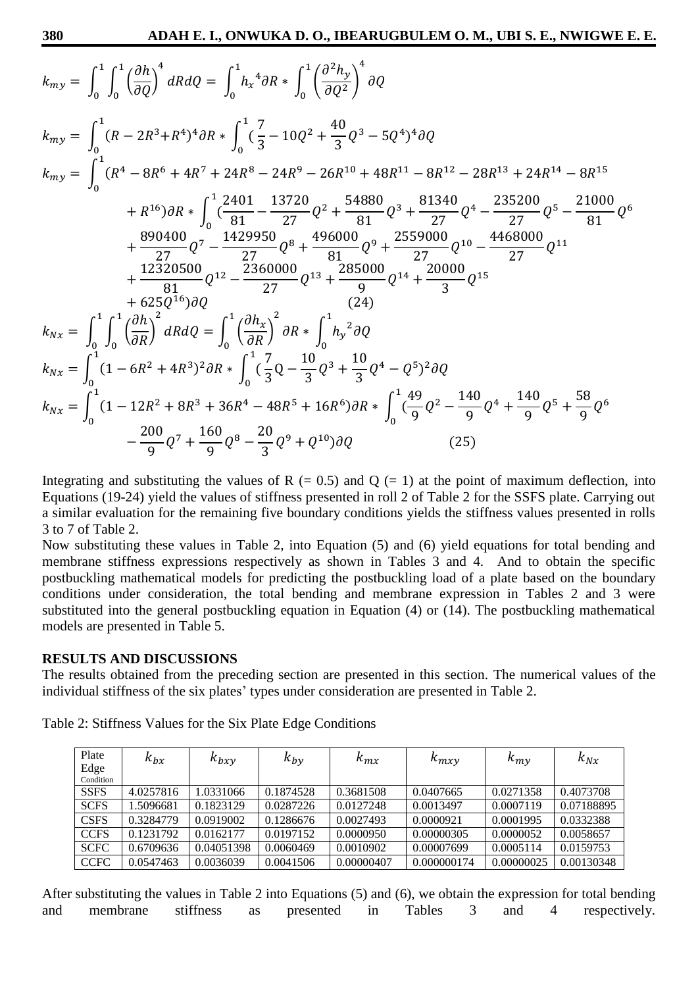$$
k_{my} = \int_{0}^{1} \int_{0}^{1} \left(\frac{\partial h}{\partial Q}\right)^{4} dR dQ = \int_{0}^{1} h_{x}^{4} \partial R * \int_{0}^{1} \left(\frac{\partial^{2} h_{y}}{\partial Q^{2}}\right)^{4} \partial Q
$$
  
\n
$$
k_{my} = \int_{0}^{1} (R - 2R^{3} + R^{4})^{4} \partial R * \int_{0}^{1} \left(\frac{7}{3} - 10Q^{2} + \frac{40}{3}Q^{3} - 5Q^{4}\right)^{4} \partial Q
$$
  
\n
$$
k_{my} = \int_{0}^{1} (R^{4} - 8R^{6} + 4R^{7} + 24R^{8} - 24R^{9} - 26R^{10} + 48R^{11} - 8R^{12} - 28R^{13} + 24R^{14} - 8R^{15}
$$
\n
$$
+ R^{16} \partial R * \int_{0}^{1} \left(\frac{2401}{81} - \frac{13720}{27}Q^{2} + \frac{54880}{81}Q^{3} + \frac{81340}{27}Q^{4} - \frac{235200}{27}Q^{5} - \frac{21000}{81}Q^{6} + \frac{890400}{27}Q^{7} - \frac{1429950}{27}Q^{8} + \frac{496000}{81}Q^{9} + \frac{2559000}{27}Q^{10} - \frac{4468000}{27}Q^{11}
$$
\n
$$
+ \frac{12320500}{81}Q^{12} - \frac{2360000}{27}Q^{13} + \frac{285000}{9}Q^{14} + \frac{20000}{3}Q^{15}
$$
\n
$$
k_{Nx} = \int_{0}^{1} \int_{0}^{1} \left(\frac{\partial h}{\partial R}\right)^{2} dR dQ = \int_{0}^{1} \left(\frac{\partial h_{x}}{\partial R}\right)^{2} \partial R * \int_{0}^{1} h_{y}^{2} \partial Q
$$
\n
$$
k_{Nx} = \int_{0}^{1} (1 - 6R^{2} + 4R^{3})^{2} \
$$

Integrating and substituting the values of R  $(= 0.5)$  and Q  $(= 1)$  at the point of maximum deflection, into Equations (19-24) yield the values of stiffness presented in roll 2 of Table 2 for the SSFS plate. Carrying out a similar evaluation for the remaining five boundary conditions yields the stiffness values presented in rolls 3 to 7 of Table 2.

Now substituting these values in Table 2, into Equation (5) and (6) yield equations for total bending and membrane stiffness expressions respectively as shown in Tables 3 and 4. And to obtain the specific postbuckling mathematical models for predicting the postbuckling load of a plate based on the boundary conditions under consideration, the total bending and membrane expression in Tables 2 and 3 were substituted into the general postbuckling equation in Equation (4) or (14). The postbuckling mathematical models are presented in Table 5.

### **RESULTS AND DISCUSSIONS**

The results obtained from the preceding section are presented in this section. The numerical values of the individual stiffness of the six plates' types under consideration are presented in Table 2.

| Plate             | $k_{bx}$  | $k_{bxy}$  | $k_{by}$  | $k_{mx}$   | $k_{mxy}$   | $k_{m\nu}$ | $k_{Nx}$   |
|-------------------|-----------|------------|-----------|------------|-------------|------------|------------|
| Edge<br>Condition |           |            |           |            |             |            |            |
| <b>SSFS</b>       | 4.0257816 | 1.0331066  | 0.1874528 | 0.3681508  | 0.0407665   | 0.0271358  | 0.4073708  |
| <b>SCFS</b>       | 1.5096681 | 0.1823129  | 0.0287226 | 0.0127248  | 0.0013497   | 0.0007119  | 0.07188895 |
| <b>CSFS</b>       | 0.3284779 | 0.0919002  | 0.1286676 | 0.0027493  | 0.0000921   | 0.0001995  | 0.0332388  |
| <b>CCFS</b>       | 0.1231792 | 0.0162177  | 0.0197152 | 0.0000950  | 0.00000305  | 0.0000052  | 0.0058657  |
| <b>SCFC</b>       | 0.6709636 | 0.04051398 | 0.0060469 | 0.0010902  | 0.00007699  | 0.0005114  | 0.0159753  |
| <b>CCFC</b>       | 0.0547463 | 0.0036039  | 0.0041506 | 0.00000407 | 0.000000174 | 0.00000025 | 0.00130348 |

Table 2: Stiffness Values for the Six Plate Edge Conditions

After substituting the values in Table 2 into Equations (5) and (6), we obtain the expression for total bending and membrane stiffness as presented in Tables 3 and 4 respectively.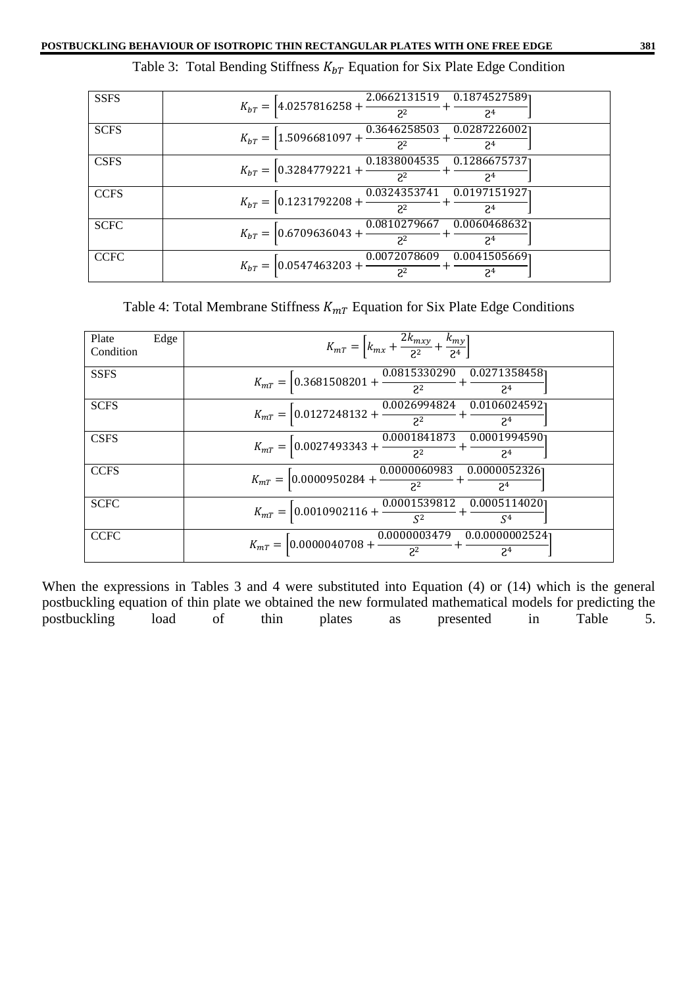| <b>SSFS</b> | $K_{bT} = \left[4.0257816258 + \frac{2.0662131519}{2^2} + \frac{0.1874527589}{2^4}\right]$                     |
|-------------|----------------------------------------------------------------------------------------------------------------|
| <b>SCFS</b> | $K_{bT} = \left[ 1.5096681097 + \frac{0.3646258503}{2^2} + \frac{0.0287226002}{2^4} \right]$<br>2 <sup>4</sup> |
| <b>CSFS</b> | $K_{bT} = \left[ 0.3284779221 + \frac{0.1838004535}{2^2} + \frac{0.1286675737}{2^4} \right]$                   |
| <b>CCFS</b> | $K_{bT} = \left[0.1231792208 + \frac{0.0324353741}{2^2} + \frac{0.0197151927}{2^4}\right]$                     |
| <b>SCFC</b> | $K_{bT} = \left[ 0.6709636043 + \frac{0.0810279667}{2^2} + \frac{0.0060468632}{2^4} \right]$                   |
| <b>CCFC</b> | $K_{bT} = \left[0.0547463203 + \frac{0.0072078609}{2^2} + \right]$<br>0.00415056691<br>2 <sup>4</sup>          |

Table 4: Total Membrane Stiffness  $K_{mT}$  Equation for Six Plate Edge Conditions

| Plate<br>Edge<br>Condition | $K_{mT} = \left[k_{mx} + \frac{2k_{mxy}}{2^2} + \frac{k_{my}}{2^4}\right]$                                     |
|----------------------------|----------------------------------------------------------------------------------------------------------------|
| <b>SSFS</b>                | $K_{mT} = \left[ 0.3681508201 + \frac{0.0815330290}{2^2} + \frac{0.0271358458}{2^4} \right]$                   |
| <b>SCFS</b>                | $K_{mT} = \left[ 0.0127248132 + \frac{0.0026994824}{2^2} + \frac{0.0106024592}{2^4} \right]$<br>2 <sup>4</sup> |
| <b>CSFS</b>                | $K_{mT} = \left[0.0027493343 + \frac{0.0001841873}{2^2} + \frac{0.0001994590}{2^4}\right]$                     |
| <b>CCFS</b>                | $K_{mT} = \left[0.0000950284 + \frac{0.0000060983}{2^2} + \frac{0.0000052326}{2^4}\right]$                     |
| <b>SCFC</b>                | $K_{mT} = \left[ 0.0010902116 + \frac{0.0001539812}{S^2} + \right.$<br>0.0005114020<br>$\mathcal{S}^4$         |
| <b>CCFC</b>                | $K_{mT} = \left[0.0000040708 + \frac{0.0000003479}{2^2} + \frac{0.00000002524}{2^4}\right]$                    |

When the expressions in Tables 3 and 4 were substituted into Equation (4) or (14) which is the general postbuckling equation of thin plate we obtained the new formulated mathematical models for predicting the postbuckling load of thin plates as presented in Table 5.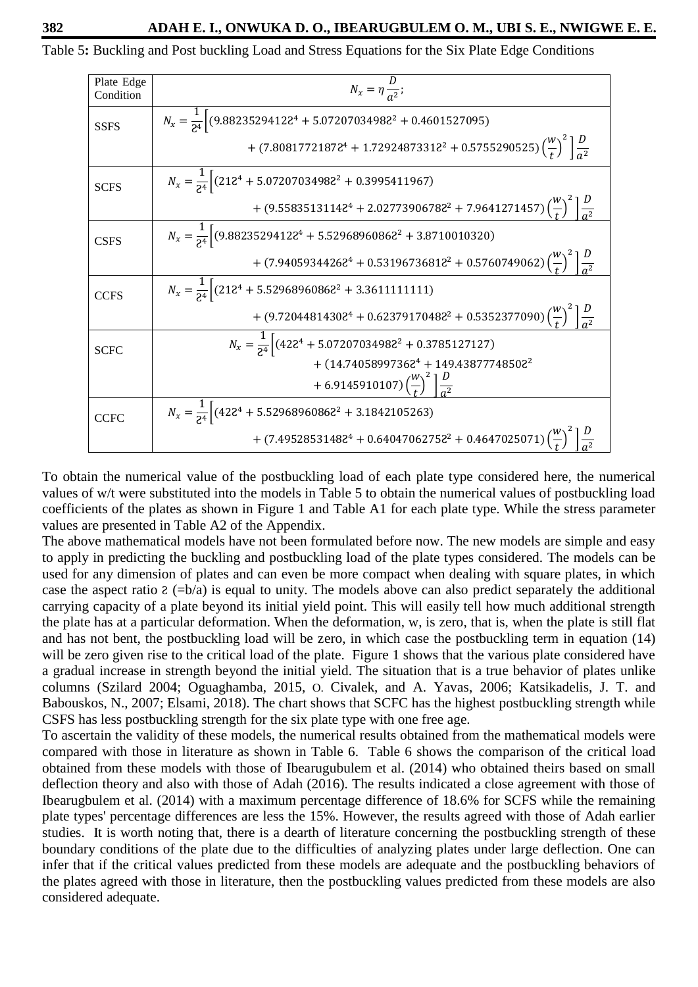Table 5**:** Buckling and Post buckling Load and Stress Equations for the Six Plate Edge Conditions

| Plate Edge<br>Condition | $N_x = \eta \frac{D}{a^2};$                                                                                               |
|-------------------------|---------------------------------------------------------------------------------------------------------------------------|
| <b>SSFS</b>             | $N_x = \frac{1}{24} \left[ (9.88235294128^4 + 5.07207034988^2 + 0.4601527095) \right]$                                    |
|                         | + $(7.80817721872^4 + 1.72924873312^2 + 0.5755290525) \left(\frac{w}{t}\right)^2 \left \frac{D}{a^2}\right $              |
| <b>SCFS</b>             | $N_x = \frac{1}{24} \left[ (212^4 + 5.07207034982^2 + 0.3995411967) \right]$                                              |
|                         | + $(9.55835131142^4 + 2.02773906782^2 + 7.9641271457) \left(\frac{w}{t}\right)^2 \left[\frac{D}{\sigma^2}\right]$         |
| <b>CSFS</b>             | $N_x = \frac{1}{24} \left[ (9.88235294122^4 + 5.52968960862^2 + 3.8710010320) \right]$                                    |
|                         | + $(7.94059344262^4 + 0.53196736812^2 + 0.5760749062) \left(\frac{W}{t}\right)^2 \left[\frac{D}{\sigma^2}\right]$         |
| <b>CCFS</b>             | $N_x = \frac{1}{24} \left[ (212^4 + 5.52968960862^2 + 3.3611111111) \right]$                                              |
|                         | + $(9.72044814302^{4} + 0.62379170482^{2} + 0.5352377090) \left(\frac{W}{t}\right)^{2} \left \frac{D}{\sigma^{2}}\right $ |
| <b>SCFC</b>             | $N_x = \frac{1}{24} \left[ (422^4 + 5.07207034982^2 + 0.3785127127) \right]$                                              |
|                         | $+$ (14.74058997362 <sup>4</sup> + 149.43877748502 <sup>2</sup>                                                           |
|                         | + 6.9145910107) $\left(\frac{W}{t}\right)^2 \left(\frac{D}{a^2}\right)$                                                   |
| <b>CCFC</b>             | $N_x = \frac{1}{24} \left[ (422^4 + 5.52968960862^2 + 3.1842105263) \right]$                                              |
|                         | + $(7.49528531482^{4} + 0.64047062752^{2} + 0.4647025071)$ $\left(\frac{W}{t}\right)$                                     |

To obtain the numerical value of the postbuckling load of each plate type considered here, the numerical values of w/t were substituted into the models in Table 5 to obtain the numerical values of postbuckling load coefficients of the plates as shown in Figure 1 and Table A1 for each plate type. While the stress parameter values are presented in Table A2 of the Appendix.

The above mathematical models have not been formulated before now. The new models are simple and easy to apply in predicting the buckling and postbuckling load of the plate types considered. The models can be used for any dimension of plates and can even be more compact when dealing with square plates, in which case the aspect ratio  $\epsilon$  (=b/a) is equal to unity. The models above can also predict separately the additional carrying capacity of a plate beyond its initial yield point. This will easily tell how much additional strength the plate has at a particular deformation. When the deformation, w, is zero, that is, when the plate is still flat and has not bent, the postbuckling load will be zero, in which case the postbuckling term in equation (14) will be zero given rise to the critical load of the plate. Figure 1 shows that the various plate considered have a gradual increase in strength beyond the initial yield. The situation that is a true behavior of plates unlike columns (Szilard 2004; Oguaghamba, 2015, O. Civalek, and A. Yavas, 2006; Katsikadelis, J. T. and Babouskos, N., 2007; Elsami, 2018). The chart shows that SCFC has the highest postbuckling strength while CSFS has less postbuckling strength for the six plate type with one free age.

To ascertain the validity of these models, the numerical results obtained from the mathematical models were compared with those in literature as shown in Table 6. Table 6 shows the comparison of the critical load obtained from these models with those of Ibearugubulem et al. (2014) who obtained theirs based on small deflection theory and also with those of Adah (2016). The results indicated a close agreement with those of Ibearugbulem et al. (2014) with a maximum percentage difference of 18.6% for SCFS while the remaining plate types' percentage differences are less the 15%. However, the results agreed with those of Adah earlier studies. It is worth noting that, there is a dearth of literature concerning the postbuckling strength of these boundary conditions of the plate due to the difficulties of analyzing plates under large deflection. One can infer that if the critical values predicted from these models are adequate and the postbuckling behaviors of the plates agreed with those in literature, then the postbuckling values predicted from these models are also considered adequate.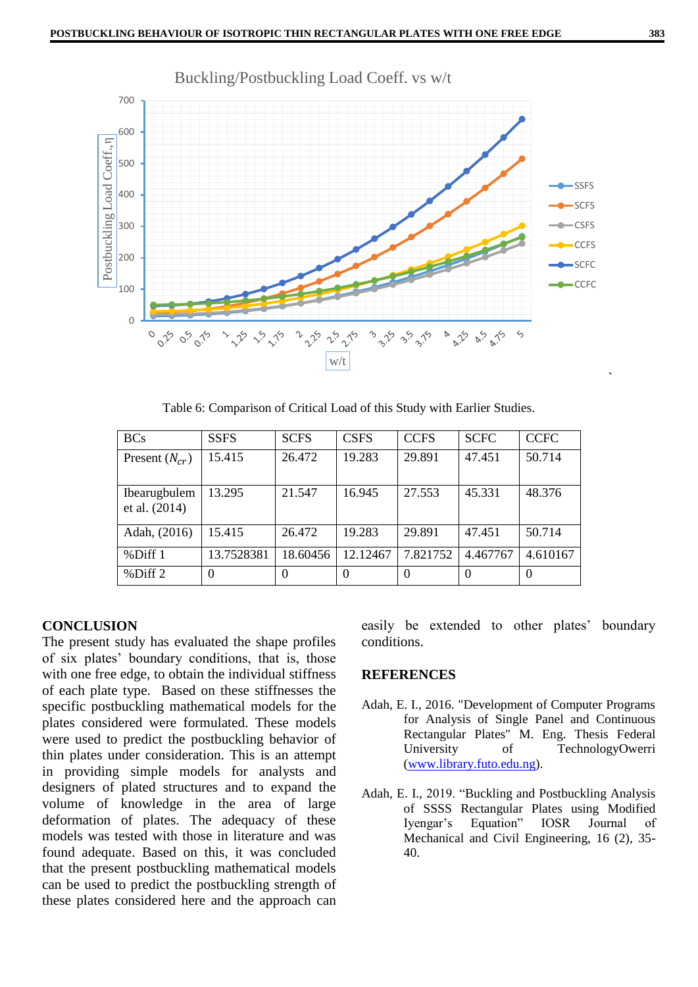

Table 6: Comparison of Critical Load of this Study with Earlier Studies.

| <b>BCs</b>                    | <b>SSFS</b> | <b>SCFS</b> | <b>CSFS</b> | <b>CCFS</b> | <b>SCFC</b> | <b>CCFC</b> |
|-------------------------------|-------------|-------------|-------------|-------------|-------------|-------------|
| Present $(N_{cr})$            | 15.415      | 26.472      | 19.283      | 29.891      | 47.451      | 50.714      |
| Ibearugbulem<br>et al. (2014) | 13.295      | 21.547      | 16.945      | 27.553      | 45.331      | 48.376      |
| Adah, (2016)                  | 15.415      | 26.472      | 19.283      | 29.891      | 47.451      | 50.714      |
| %Diff1                        | 13.7528381  | 18.60456    | 12.12467    | 7.821752    | 4.467767    | 4.610167    |
| %Diff 2                       |             |             | $\Omega$    | $\theta$    | $\Omega$    | $\theta$    |

### **CONCLUSION**

The present study has evaluated the shape profiles of six plates' boundary conditions, that is, those with one free edge, to obtain the individual stiffness of each plate type. Based on these stiffnesses the specific postbuckling mathematical models for the plates considered were formulated. These models were used to predict the postbuckling behavior of thin plates under consideration. This is an attempt in providing simple models for analysts and designers of plated structures and to expand the volume of knowledge in the area of large deformation of plates. The adequacy of these models was tested with those in literature and was found adequate. Based on this, it was concluded that the present postbuckling mathematical models can be used to predict the postbuckling strength of these plates considered here and the approach can easily be extended to other plates' boundary conditions.

### **REFERENCES**

- Adah, E. I., 2016. "Development of Computer Programs for Analysis of Single Panel and Continuous Rectangular Plates" M. Eng. Thesis Federal University of TechnologyOwerri [\(www.library.futo.edu.ng\)](http://www.library.futo.edu.ng/).
- Adah, E. I., 2019. "Buckling and Postbuckling Analysis of SSSS Rectangular Plates using Modified Iyengar's Equation" IOSR Journal of Mechanical and Civil Engineering, 16 (2), 35- 40.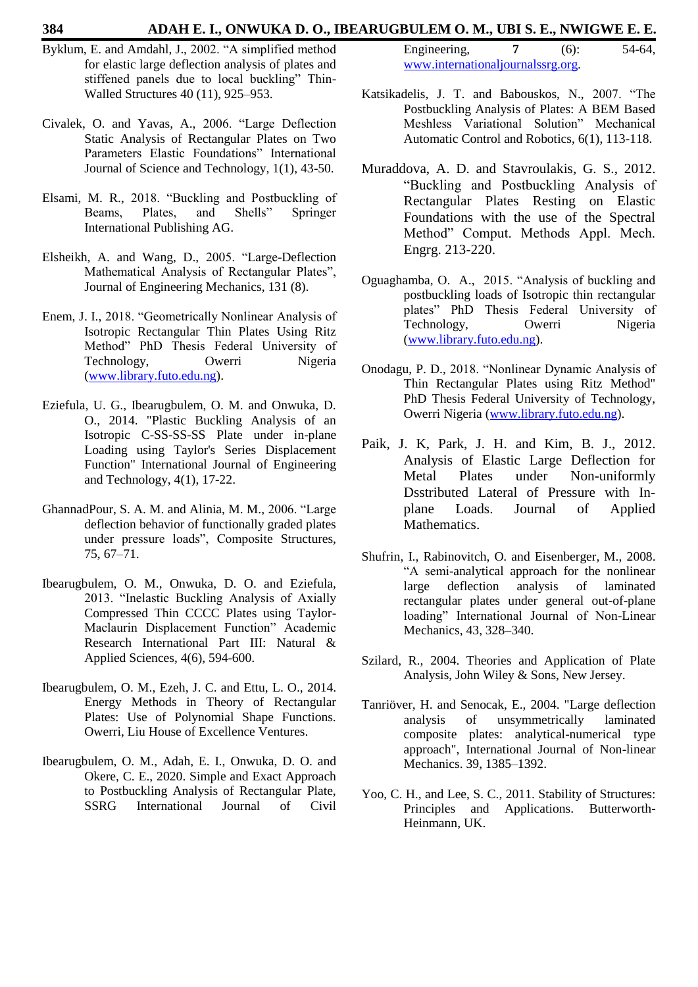#### **384 ADAH E. I., ONWUKA D. O., IBEARUGBULEM O. M., UBI S. E., NWIGWE E. E.**

- Byklum, E. and Amdahl, J., 2002. "A simplified method for elastic large deflection analysis of plates and stiffened panels due to local buckling" Thin-Walled Structures 40 (11), 925–953.
- Civalek, O. and Yavas, A., 2006. "Large Deflection Static Analysis of Rectangular Plates on Two Parameters Elastic Foundations" International Journal of Science and Technology, 1(1), 43-50.
- Elsami, M. R., 2018. "Buckling and Postbuckling of Beams, Plates, and Shells" Springer International Publishing AG.
- Elsheikh, A. and Wang, D., 2005. "Large-Deflection Mathematical Analysis of Rectangular Plates", Journal of Engineering Mechanics, 131 (8).
- Enem, J. I., 2018. "Geometrically Nonlinear Analysis of Isotropic Rectangular Thin Plates Using Ritz Method" PhD Thesis Federal University of Technology, Owerri Nigeria [\(www.library.futo.edu.ng\)](http://www.library.futo.edu.ng/).
- Eziefula, U. G., Ibearugbulem, O. M. and Onwuka, D. O., 2014. "Plastic Buckling Analysis of an Isotropic C-SS-SS-SS Plate under in-plane Loading using Taylor's Series Displacement Function" International Journal of Engineering and Technology, 4(1), 17-22.
- GhannadPour, S. A. M. and Alinia, M. M., 2006. "Large deflection behavior of functionally graded plates under pressure loads", Composite Structures, 75, 67–71.
- Ibearugbulem, O. M., Onwuka, D. O. and Eziefula, 2013. "Inelastic Buckling Analysis of Axially Compressed Thin CCCC Plates using Taylor-Maclaurin Displacement Function" Academic Research International Part III: Natural & Applied Sciences, 4(6), 594-600.
- Ibearugbulem, O. M., Ezeh, J. C. and Ettu, L. O., 2014. Energy Methods in Theory of Rectangular Plates: Use of Polynomial Shape Functions. Owerri, Liu House of Excellence Ventures.
- Ibearugbulem, O. M., Adah, E. I., Onwuka, D. O. and Okere, C. E., 2020. Simple and Exact Approach to Postbuckling Analysis of Rectangular Plate, SSRG International Journal of Civil

| Engineering,                      | $(6)$ : | 54-64, |
|-----------------------------------|---------|--------|
| www.internationaljournalssrg.org. |         |        |

- Katsikadelis, J. T. and Babouskos, N., 2007. "The Postbuckling Analysis of Plates: A BEM Based Meshless Variational Solution" Mechanical Automatic Control and Robotics, 6(1), 113-118.
- Muraddova, A. D. and Stavroulakis, G. S., 2012. "Buckling and Postbuckling Analysis of Rectangular Plates Resting on Elastic Foundations with the use of the Spectral Method" Comput. Methods Appl. Mech. Engrg. 213-220.
- Oguaghamba, O. A., 2015. "Analysis of buckling and postbuckling loads of Isotropic thin rectangular plates" PhD Thesis Federal University of Technology, Owerri Nigeria [\(www.library.futo.edu.ng\)](http://www.library.futo.edu.ng/).
- Onodagu, P. D., 2018. "Nonlinear Dynamic Analysis of Thin Rectangular Plates using Ritz Method" PhD Thesis Federal University of Technology, Owerri Nigeria [\(www.library.futo.edu.ng\)](http://www.library.futo.edu.ng/).
- Paik, J. K, Park, J. H. and Kim, B. J., 2012. Analysis of Elastic Large Deflection for Metal Plates under Non-uniformly Dsstributed Lateral of Pressure with Inplane Loads. Journal of Applied Mathematics.
- Shufrin, I., Rabinovitch, O. and Eisenberger, M., 2008. "A semi-analytical approach for the nonlinear large deflection analysis of laminated rectangular plates under general out-of-plane loading" International Journal of Non-Linear Mechanics, 43, 328–340.
- Szilard, R., 2004. Theories and Application of Plate Analysis, John Wiley & Sons, New Jersey.
- Tanriöver, H. and Senocak, E., 2004. "Large deflection analysis of unsymmetrically laminated composite plates: analytical-numerical type approach", International Journal of Non-linear Mechanics. 39, 1385–1392.
- Yoo, C. H., and Lee, S. C., 2011. Stability of Structures: Principles and Applications. Butterworth-Heinmann, UK.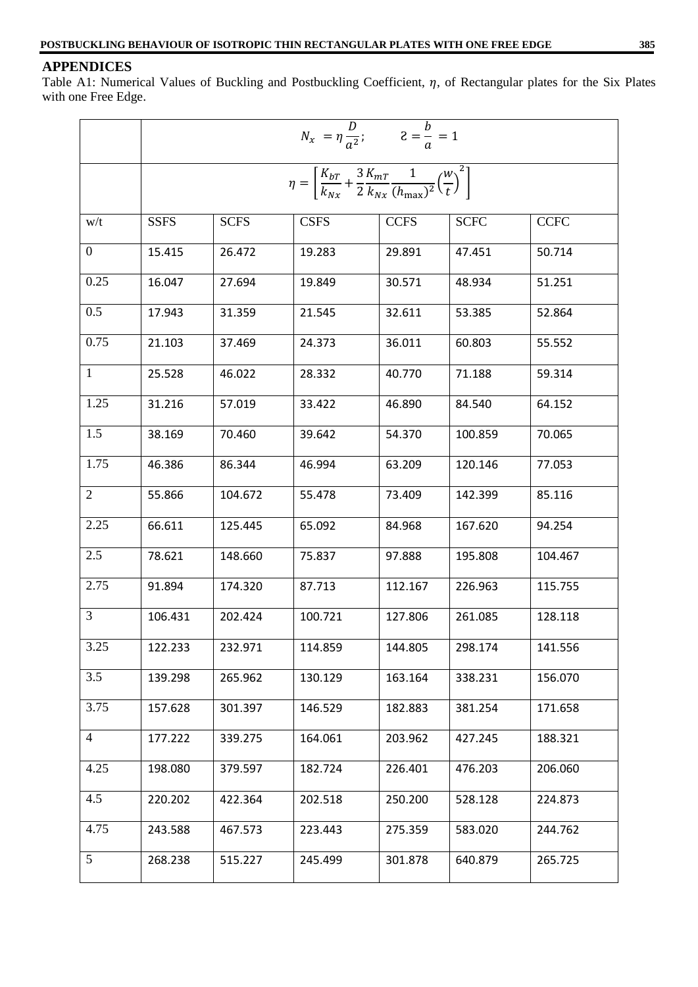### **APPENDICES**

Table A1: Numerical Values of Buckling and Postbuckling Coefficient,  $\eta$ , of Rectangular plates for the Six Plates with one Free Edge.

|                | $N_x = \eta \frac{D}{a^2}; \qquad z = \frac{b}{a} = 1$                                                                                      |             |             |             |             |             |  |  |  |
|----------------|---------------------------------------------------------------------------------------------------------------------------------------------|-------------|-------------|-------------|-------------|-------------|--|--|--|
|                | $\eta = \left  \frac{K_{bT}}{k_{Nx}} + \frac{3}{2} \frac{K_{mT}}{k_{Nx}} \frac{1}{(h_{\text{max}})^2} \left( \frac{W}{t} \right)^2 \right $ |             |             |             |             |             |  |  |  |
| w/t            | <b>SSFS</b>                                                                                                                                 | <b>SCFS</b> | <b>CSFS</b> | <b>CCFS</b> | <b>SCFC</b> | <b>CCFC</b> |  |  |  |
| $\mathbf{0}$   | 15.415                                                                                                                                      | 26.472      | 19.283      | 29.891      | 47.451      | 50.714      |  |  |  |
| 0.25           | 16.047                                                                                                                                      | 27.694      | 19.849      | 30.571      | 48.934      | 51.251      |  |  |  |
| 0.5            | 17.943                                                                                                                                      | 31.359      | 21.545      | 32.611      | 53.385      | 52.864      |  |  |  |
| 0.75           | 21.103                                                                                                                                      | 37.469      | 24.373      | 36.011      | 60.803      | 55.552      |  |  |  |
| $\mathbf{1}$   | 25.528                                                                                                                                      | 46.022      | 28.332      | 40.770      | 71.188      | 59.314      |  |  |  |
| 1.25           | 31.216                                                                                                                                      | 57.019      | 33.422      | 46.890      | 84.540      | 64.152      |  |  |  |
| 1.5            | 38.169                                                                                                                                      | 70.460      | 39.642      | 54.370      | 100.859     | 70.065      |  |  |  |
| 1.75           | 46.386                                                                                                                                      | 86.344      | 46.994      | 63.209      | 120.146     | 77.053      |  |  |  |
| 2              | 55.866                                                                                                                                      | 104.672     | 55.478      | 73.409      | 142.399     | 85.116      |  |  |  |
| 2.25           | 66.611                                                                                                                                      | 125.445     | 65.092      | 84.968      | 167.620     | 94.254      |  |  |  |
| 2.5            | 78.621                                                                                                                                      | 148.660     | 75.837      | 97.888      | 195.808     | 104.467     |  |  |  |
| 2.75           | 91.894                                                                                                                                      | 174.320     | 87.713      | 112.167     | 226.963     | 115.755     |  |  |  |
| 3              | 106.431                                                                                                                                     | 202.424     | 100.721     | 127.806     | 261.085     | 128.118     |  |  |  |
| 3.25           | 122.233                                                                                                                                     | 232.971     | 114.859     | 144.805     | 298.174     | 141.556     |  |  |  |
| 3.5            | 139.298                                                                                                                                     | 265.962     | 130.129     | 163.164     | 338.231     | 156.070     |  |  |  |
| 3.75           | 157.628                                                                                                                                     | 301.397     | 146.529     | 182.883     | 381.254     | 171.658     |  |  |  |
| $\overline{4}$ | 177.222                                                                                                                                     | 339.275     | 164.061     | 203.962     | 427.245     | 188.321     |  |  |  |
| 4.25           | 198.080                                                                                                                                     | 379.597     | 182.724     | 226.401     | 476.203     | 206.060     |  |  |  |
| 4.5            | 220.202                                                                                                                                     | 422.364     | 202.518     | 250.200     | 528.128     | 224.873     |  |  |  |
| 4.75           | 243.588                                                                                                                                     | 467.573     | 223.443     | 275.359     | 583.020     | 244.762     |  |  |  |
| 5 <sup>5</sup> | 268.238                                                                                                                                     | 515.227     | 245.499     | 301.878     | 640.879     | 265.725     |  |  |  |